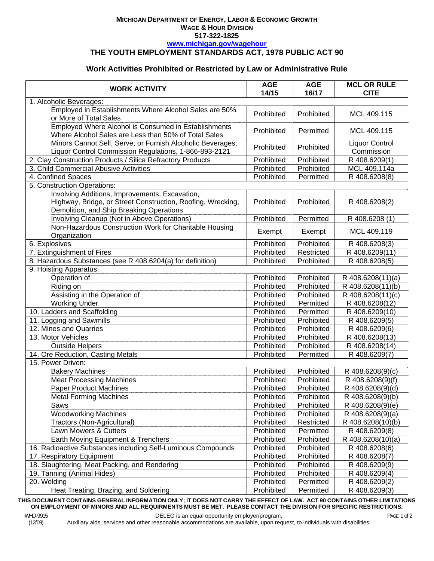#### **MICHIGAN DEPARTMENT OF ENERGY, LABOR & ECONOMIC GROWTH WAGE & HOUR DIVISION 517-322-1825 www.michigan.gov/wagehour**

## **THE YOUTH EMPLOYMENT STANDARDS ACT, 1978 PUBLIC ACT 90**

# **Work Activities Prohibited or Restricted by Law or Administrative Rule**

| <b>WORK ACTIVITY</b>                                                                                                                                      | <b>AGE</b><br>14/15 | <b>AGE</b><br>16/17 | <b>MCL OR RULE</b><br><b>CITE</b>   |  |
|-----------------------------------------------------------------------------------------------------------------------------------------------------------|---------------------|---------------------|-------------------------------------|--|
| 1. Alcoholic Beverages:                                                                                                                                   |                     |                     |                                     |  |
| Employed in Establishments Where Alcohol Sales are 50%<br>or More of Total Sales                                                                          | Prohibited          | Prohibited          | MCL 409.115                         |  |
| Employed Where Alcohol is Consumed in Establishments<br>Where Alcohol Sales are Less than 50% of Total Sales                                              | Prohibited          | Permitted           | MCL 409.115                         |  |
| Minors Cannot Sell, Serve, or Furnish Alcoholic Beverages;<br>Liquor Control Commission Regulations, 1-866-893-2121                                       | Prohibited          | Prohibited          | <b>Liquor Control</b><br>Commission |  |
| 2. Clay Construction Products / Silica Refractory Products                                                                                                | Prohibited          | Prohibited          | R 408.6209(1)                       |  |
| 3. Child Commercial Abusive Activities                                                                                                                    | Prohibited          | Prohibited          | MCL 409.114a                        |  |
| 4. Confined Spaces                                                                                                                                        | Prohibited          | Permitted           | R 408.6208(8)                       |  |
| 5. Construction Operations:                                                                                                                               |                     |                     |                                     |  |
| Involving Additions, Improvements, Excavation,<br>Highway, Bridge, or Street Construction, Roofing, Wrecking,<br>Demolition, and Ship Breaking Operations | Prohibited          | Prohibited          | R 408.6208(2)                       |  |
| Involving Cleanup (Not in Above Operations)                                                                                                               | Prohibited          | Permitted           | R 408.6208 (1)                      |  |
| Non-Hazardous Construction Work for Charitable Housing<br>Organization                                                                                    | Exempt              | Exempt              | MCL 409.119                         |  |
| 6. Explosives                                                                                                                                             | Prohibited          | Prohibited          | $\overline{R}$ 408.6208(3)          |  |
| 7. Extinguishment of Fires                                                                                                                                | Prohibited          | Restricted          | R 408.6209(11)                      |  |
| 8. Hazardous Substances (see R 408.6204(a) for definition)                                                                                                | Prohibited          | Prohibited          | R 408.6208(5)                       |  |
| 9. Hoisting Apparatus:                                                                                                                                    |                     |                     |                                     |  |
| Operation of                                                                                                                                              | Prohibited          | Prohibited          | R 408.6208(11)(a)                   |  |
| Riding on                                                                                                                                                 | Prohibited          | Prohibited          | R 408.6208(11)(b)                   |  |
| Assisting in the Operation of                                                                                                                             | Prohibited          | Prohibited          | R 408.6208(11)(c)                   |  |
| <b>Working Under</b>                                                                                                                                      | Prohibited          | Permitted           | R 408.6208(12)                      |  |
| 10. Ladders and Scaffolding                                                                                                                               | Prohibited          | Permitted           | R 408.6209(10)                      |  |
| 11. Logging and Sawmills                                                                                                                                  | Prohibited          | Prohibited          | R 408.6209(5)                       |  |
| 12. Mines and Quarries                                                                                                                                    | Prohibited          | Prohibited          | R 408.6209(6)                       |  |
| 13. Motor Vehicles                                                                                                                                        | Prohibited          | Prohibited          | R 408.6208(13)                      |  |
| <b>Outside Helpers</b>                                                                                                                                    | Prohibited          | Prohibited          | R 408.6208(14)                      |  |
| 14. Ore Reduction, Casting Metals                                                                                                                         | Prohibited          | Permitted           | R 408.6209(7)                       |  |
| 15. Power Driven:                                                                                                                                         |                     |                     |                                     |  |
| <b>Bakery Machines</b>                                                                                                                                    | Prohibited          | Prohibited          | R 408.6208(9)(c)                    |  |
| <b>Meat Processing Machines</b>                                                                                                                           | Prohibited          | Prohibited          | R 408.6208(9)(f)                    |  |
| <b>Paper Product Machines</b>                                                                                                                             | Prohibited          | Prohibited          | R 408.6208(9)(d)                    |  |
| <b>Metal Forming Machines</b>                                                                                                                             | Prohibited          | Prohibited          | $R$ 408.6208(9)(b)                  |  |
| Saws                                                                                                                                                      | Prohibited          | Prohibited          | R 408.6208(9)(e)                    |  |
| <b>Woodworking Machines</b>                                                                                                                               | Prohibited          | Prohibited          | R 408.6208(9)(a)                    |  |
| Tractors (Non-Agricultural)                                                                                                                               | Prohibited          | Restricted          | R 408.6208(10)(b)                   |  |
| Lawn Mowers & Cutters                                                                                                                                     | Prohibited          | Permitted           | R 408.6209(8)                       |  |
| Earth Moving Equipment & Trenchers                                                                                                                        | Prohibited          | Prohibited          | R 408.6208(10)(a)                   |  |
| 16. Radioactive Substances including Self-Luminous Compounds                                                                                              | Prohibited          | Prohibited          | R 408.6208(6)                       |  |
| 17. Respiratory Equipment                                                                                                                                 | Prohibited          | Prohibited          | R 408.6208(7)                       |  |
| 18. Slaughtering, Meat Packing, and Rendering                                                                                                             | Prohibited          | Prohibited          | R 408.6209(9)                       |  |
| 19. Tanning (Animal Hides)                                                                                                                                | Prohibited          | Prohibited          | R 408.6209(4)                       |  |
| 20. Welding                                                                                                                                               | Prohibited          | Permitted           | R 408.6209(2)                       |  |
| Heat Treating, Brazing, and Soldering                                                                                                                     | Prohibited          | Permitted           | R 408.6209(3)                       |  |

THIS DOCUMENT CONTAINS GENERAL INFORMATION ONLY; IT DOES NOT CARRY THE EFFECT OF LAW. ACT 90 CONTAINS OTHER LIMITATIONS **ON EMPLOYMENT OF MINORS AND ALL REQUIRMENTS MUST BE MET. PLEASE CONTACT THE DIVISION FOR SPECIFIC RESTRICTIONS.**

DELEG is an equal opportunity employer/program.

Auxiliary aids, services and other reasonable accommodations are available, upon request, to individuals with disabilities.